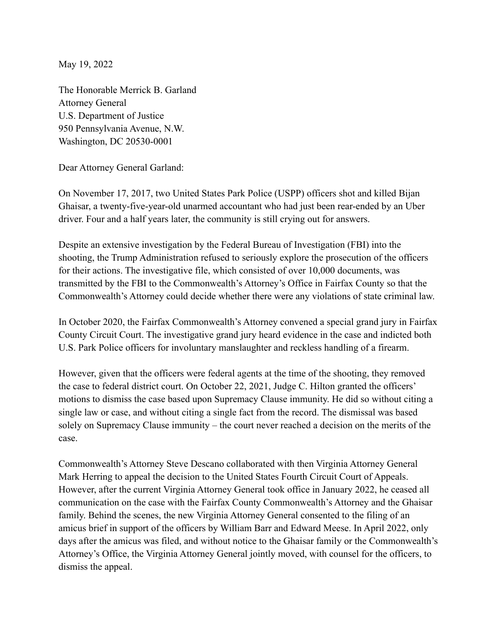May 19, 2022

The Honorable Merrick B. Garland Attorney General U.S. Department of Justice 950 Pennsylvania Avenue, N.W. Washington, DC 20530-0001

Dear Attorney General Garland:

On November 17, 2017, two United States Park Police (USPP) officers shot and killed Bijan Ghaisar, a twenty-five-year-old unarmed accountant who had just been rear-ended by an Uber driver. Four and a half years later, the community is still crying out for answers.

Despite an extensive investigation by the Federal Bureau of Investigation (FBI) into the shooting, the Trump Administration refused to seriously explore the prosecution of the officers for their actions. The investigative file, which consisted of over 10,000 documents, was transmitted by the FBI to the Commonwealth's Attorney's Office in Fairfax County so that the Commonwealth's Attorney could decide whether there were any violations of state criminal law.

In October 2020, the Fairfax Commonwealth's Attorney convened a special grand jury in Fairfax County Circuit Court. The investigative grand jury heard evidence in the case and indicted both U.S. Park Police officers for involuntary manslaughter and reckless handling of a firearm.

However, given that the officers were federal agents at the time of the shooting, they removed the case to federal district court. On October 22, 2021, Judge C. Hilton granted the officers' motions to dismiss the case based upon Supremacy Clause immunity. He did so without citing a single law or case, and without citing a single fact from the record. The dismissal was based solely on Supremacy Clause immunity – the court never reached a decision on the merits of the case.

Commonwealth's Attorney Steve Descano collaborated with then Virginia Attorney General Mark Herring to appeal the decision to the United States Fourth Circuit Court of Appeals. However, after the current Virginia Attorney General took office in January 2022, he ceased all communication on the case with the Fairfax County Commonwealth's Attorney and the Ghaisar family. Behind the scenes, the new Virginia Attorney General consented to the filing of an amicus brief in support of the officers by William Barr and Edward Meese. In April 2022, only days after the amicus was filed, and without notice to the Ghaisar family or the Commonwealth's Attorney's Office, the Virginia Attorney General jointly moved, with counsel for the officers, to dismiss the appeal.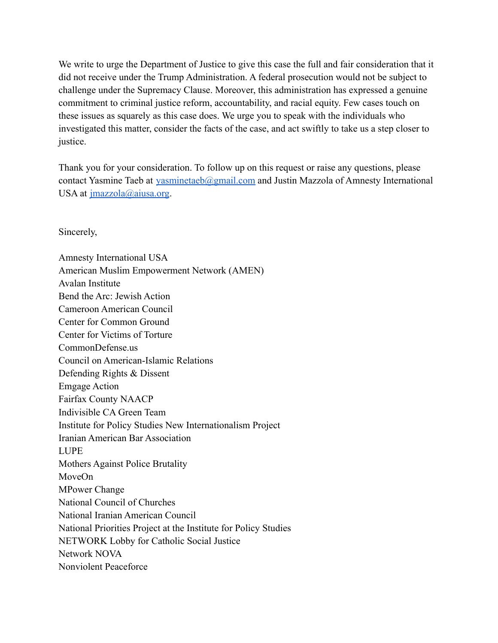We write to urge the Department of Justice to give this case the full and fair consideration that it did not receive under the Trump Administration. A federal prosecution would not be subject to challenge under the Supremacy Clause. Moreover, this administration has expressed a genuine commitment to criminal justice reform, accountability, and racial equity. Few cases touch on these issues as squarely as this case does. We urge you to speak with the individuals who investigated this matter, consider the facts of the case, and act swiftly to take us a step closer to justice.

Thank you for your consideration. To follow up on this request or raise any questions, please contact Yasmine Taeb at [yasminetaeb@gmail.com](mailto:yasminetaeb@gmail.com) and Justin Mazzola of Amnesty International USA at [jmazzola@aiusa.org](mailto:jmazzola@aiusa.org).

Sincerely,

Amnesty International USA American Muslim Empowerment Network (AMEN) Avalan Institute Bend the Arc: Jewish Action Cameroon American Council Center for Common Ground Center for Victims of Torture CommonDefense.us Council on American-Islamic Relations Defending Rights & Dissent Emgage Action Fairfax County NAACP Indivisible CA Green Team Institute for Policy Studies New Internationalism Project Iranian American Bar Association LUPE Mothers Against Police Brutality MoveOn MPower Change National Council of Churches National Iranian American Council National Priorities Project at the Institute for Policy Studies NETWORK Lobby for Catholic Social Justice Network NOVA Nonviolent Peaceforce